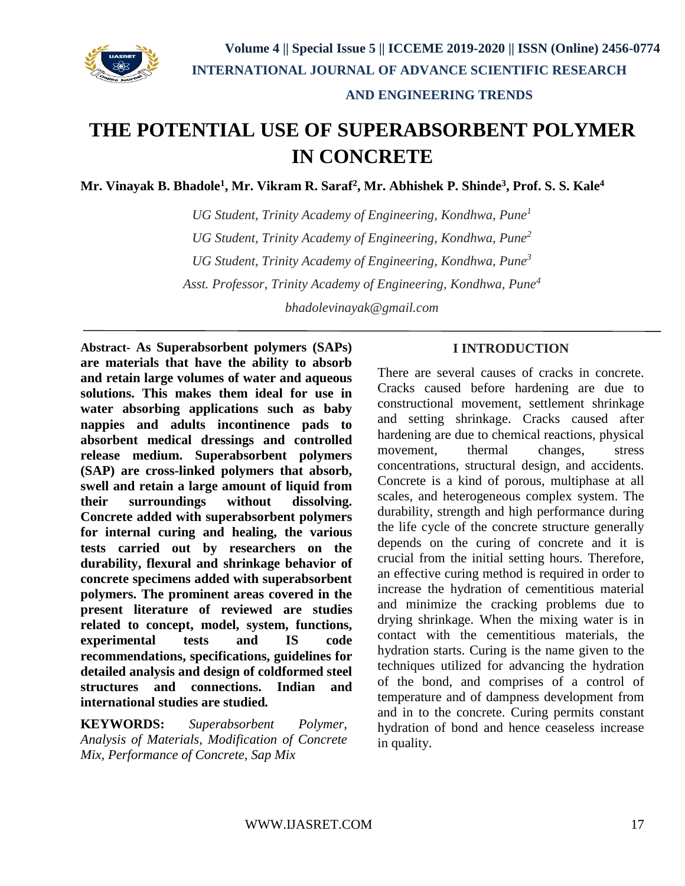

# **THE POTENTIAL USE OF SUPERABSORBENT POLYMER IN CONCRETE**

**Mr. Vinayak B. Bhadole<sup>1</sup> , Mr. Vikram R. Saraf<sup>2</sup> , Mr. Abhishek P. Shinde<sup>3</sup> , Prof. S. S. Kale<sup>4</sup>**

*UG Student, Trinity Academy of Engineering, Kondhwa, Pune<sup>1</sup> UG Student, Trinity Academy of Engineering, Kondhwa, Pune<sup>2</sup> UG Student, Trinity Academy of Engineering, Kondhwa, Pune<sup>3</sup> Asst. Professor, Trinity Academy of Engineering, Kondhwa, Pune<sup>4</sup>*

*bhadolevinayak@gmail.com*

**Abstract- As Superabsorbent polymers (SAPs) are materials that have the ability to absorb and retain large volumes of water and aqueous solutions. This makes them ideal for use in water absorbing applications such as baby nappies and adults incontinence pads to absorbent medical dressings and controlled release medium. Superabsorbent polymers (SAP) are cross-linked polymers that absorb, swell and retain a large amount of liquid from their surroundings without dissolving. Concrete added with superabsorbent polymers for internal curing and healing, the various tests carried out by researchers on the durability, flexural and shrinkage behavior of concrete specimens added with superabsorbent polymers. The prominent areas covered in the present literature of reviewed are studies related to concept, model, system, functions, experimental tests and IS code recommendations, specifications, guidelines for detailed analysis and design of coldformed steel structures and connections. Indian and international studies are studied***.*

**KEYWORDS:** *Superabsorbent Polymer, Analysis of Materials, Modification of Concrete Mix, Performance of Concrete, Sap Mix*

#### **I INTRODUCTION**

There are several causes of cracks in concrete. Cracks caused before hardening are due to constructional movement, settlement shrinkage and setting shrinkage. Cracks caused after hardening are due to chemical reactions, physical movement, thermal changes, stress concentrations, structural design, and accidents. Concrete is a kind of porous, multiphase at all scales, and heterogeneous complex system. The durability, strength and high performance during the life cycle of the concrete structure generally depends on the curing of concrete and it is crucial from the initial setting hours. Therefore, an effective curing method is required in order to increase the hydration of cementitious material and minimize the cracking problems due to drying shrinkage. When the mixing water is in contact with the cementitious materials, the hydration starts. Curing is the name given to the techniques utilized for advancing the hydration of the bond, and comprises of a control of temperature and of dampness development from and in to the concrete. Curing permits constant hydration of bond and hence ceaseless increase in quality.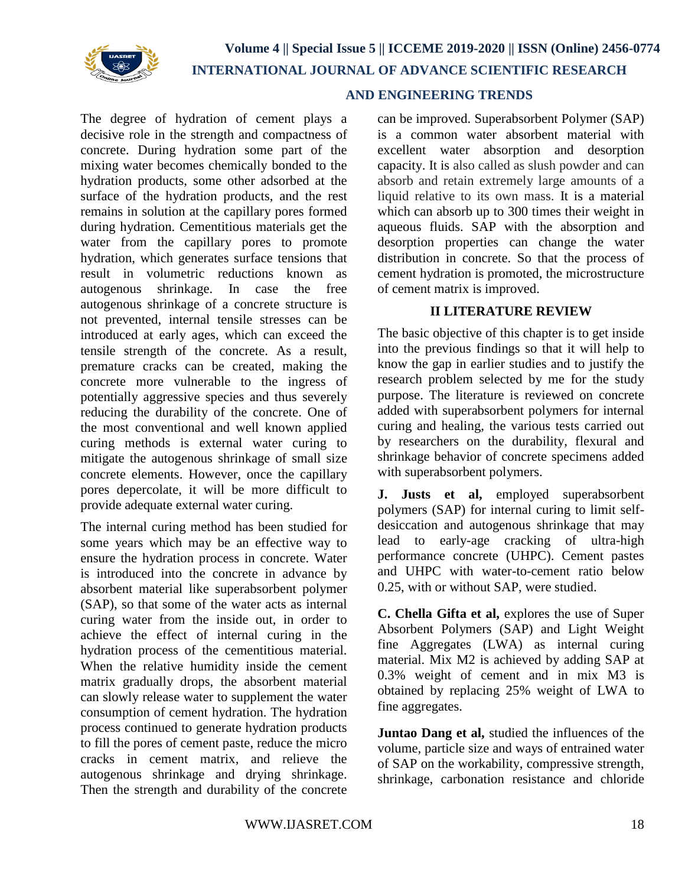

The degree of hydration of cement plays a decisive role in the strength and compactness of concrete. During hydration some part of the mixing water becomes chemically bonded to the hydration products, some other adsorbed at the surface of the hydration products, and the rest remains in solution at the capillary pores formed during hydration. Cementitious materials get the water from the capillary pores to promote hydration, which generates surface tensions that result in volumetric reductions known as autogenous shrinkage. In case the free autogenous shrinkage of a concrete structure is not prevented, internal tensile stresses can be introduced at early ages, which can exceed the tensile strength of the concrete. As a result, premature cracks can be created, making the concrete more vulnerable to the ingress of potentially aggressive species and thus severely reducing the durability of the concrete. One of the most conventional and well known applied curing methods is external water curing to mitigate the autogenous shrinkage of small size concrete elements. However, once the capillary pores depercolate, it will be more difficult to provide adequate external water curing.

The internal curing method has been studied for some years which may be an effective way to ensure the hydration process in concrete. Water is introduced into the concrete in advance by absorbent material like superabsorbent polymer (SAP), so that some of the water acts as internal curing water from the inside out, in order to achieve the effect of internal curing in the hydration process of the cementitious material. When the relative humidity inside the cement matrix gradually drops, the absorbent material can slowly release water to supplement the water consumption of cement hydration. The hydration process continued to generate hydration products to fill the pores of cement paste, reduce the micro cracks in cement matrix, and relieve the autogenous shrinkage and drying shrinkage. Then the strength and durability of the concrete

#### **AND ENGINEERING TRENDS**

can be improved. Superabsorbent Polymer (SAP) is a common water absorbent material with excellent water absorption and desorption capacity. It is also called as slush powder and can absorb and retain extremely large amounts of a liquid relative to its own mass. It is a material which can absorb up to 300 times their weight in aqueous fluids. SAP with the absorption and desorption properties can change the water distribution in concrete. So that the process of cement hydration is promoted, the microstructure of cement matrix is improved.

#### **II LITERATURE REVIEW**

The basic objective of this chapter is to get inside into the previous findings so that it will help to know the gap in earlier studies and to justify the research problem selected by me for the study purpose. The literature is reviewed on concrete added with superabsorbent polymers for internal curing and healing, the various tests carried out by researchers on the durability, flexural and shrinkage behavior of concrete specimens added with superabsorbent polymers.

**J. Justs et al,** employed superabsorbent polymers (SAP) for internal curing to limit selfdesiccation and autogenous shrinkage that may lead to early-age cracking of ultra-high performance concrete (UHPC). Cement pastes and UHPC with water-to-cement ratio below 0.25, with or without SAP, were studied.

**C. Chella Gifta et al,** explores the use of Super Absorbent Polymers (SAP) and Light Weight fine Aggregates (LWA) as internal curing material. Mix M2 is achieved by adding SAP at 0.3% weight of cement and in mix M3 is obtained by replacing 25% weight of LWA to fine aggregates.

**Juntao Dang et al,** studied the influences of the volume, particle size and ways of entrained water of SAP on the workability, compressive strength, shrinkage, carbonation resistance and chloride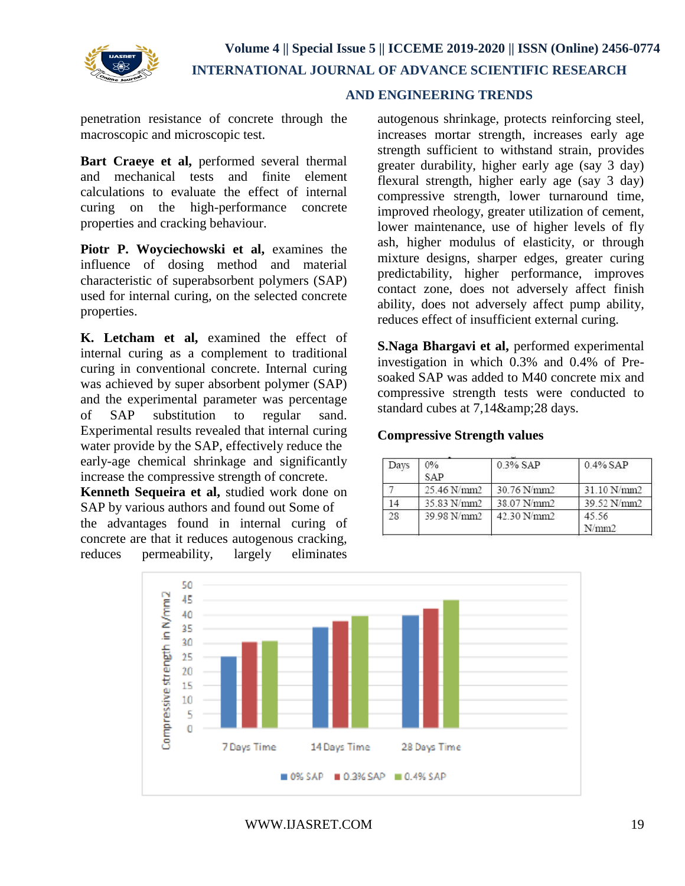

# **AND ENGINEERING TRENDS**

penetration resistance of concrete through the macroscopic and microscopic test.

**Bart Craeye et al,** performed several thermal and mechanical tests and finite element calculations to evaluate the effect of internal curing on the high-performance concrete properties and cracking behaviour.

**Piotr P. Woyciechowski et al,** examines the influence of dosing method and material characteristic of superabsorbent polymers (SAP) used for internal curing, on the selected concrete properties.

**K. Letcham et al,** examined the effect of internal curing as a complement to traditional curing in conventional concrete. Internal curing was achieved by super absorbent polymer (SAP) and the experimental parameter was percentage of SAP substitution to regular sand. Experimental results revealed that internal curing water provide by the SAP, effectively reduce the early-age chemical shrinkage and significantly increase the compressive strength of concrete. **Kenneth Sequeira et al,** studied work done on SAP by various authors and found out Some of the advantages found in internal curing of concrete are that it reduces autogenous cracking, reduces permeability, largely eliminates

autogenous shrinkage, protects reinforcing steel, increases mortar strength, increases early age strength sufficient to withstand strain, provides greater durability, higher early age (say 3 day) flexural strength, higher early age (say 3 day) compressive strength, lower turnaround time, improved rheology, greater utilization of cement, lower maintenance, use of higher levels of fly ash, higher modulus of elasticity, or through mixture designs, sharper edges, greater curing predictability, higher performance, improves contact zone, does not adversely affect finish ability, does not adversely affect pump ability, reduces effect of insufficient external curing.

**S.Naga Bhargavi et al,** performed experimental investigation in which 0.3% and 0.4% of Presoaked SAP was added to M40 concrete mix and compressive strength tests were conducted to standard cubes at 7,14&28 days.

## **Compressive Strength values**

| Days | 0%<br><b>SAP</b> | 0.3% SAP    | $0.4\%$ SAP    |  |
|------|------------------|-------------|----------------|--|
|      | 25.46 N/mm2      | 30.76 N/mm2 | 31.10 N/mm2    |  |
|      | 35.83 N/mm2      | 38.07 N/mm2 | 39.52 N/mm2    |  |
| 28   | 39.98 N/mm2      | 42.30 N/mm2 | 45.56<br>N/mm2 |  |

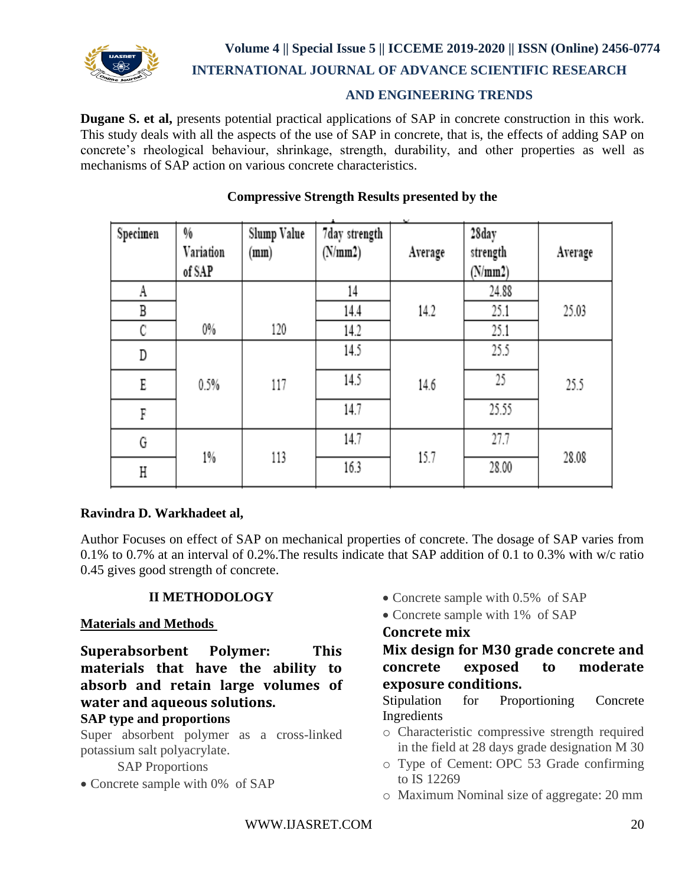

**Volume 4 || Special Issue 5 || ICCEME 2019-2020 || ISSN (Online) 2456-0774**

 **INTERNATIONAL JOURNAL OF ADVANCE SCIENTIFIC RESEARCH** 

# **AND ENGINEERING TRENDS**

**Dugane S. et al,** presents potential practical applications of SAP in concrete construction in this work. This study deals with all the aspects of the use of SAP in concrete, that is, the effects of adding SAP on concrete's rheological behaviour, shrinkage, strength, durability, and other properties as well as mechanisms of SAP action on various concrete characteristics.

| Specimen | %<br>Variation<br>of SAP | Slump Value<br>(mm) | 7day strength<br>(N/mm 2) | ÷<br>Average | 28day<br>strength<br>(N/mm 2) | Average |
|----------|--------------------------|---------------------|---------------------------|--------------|-------------------------------|---------|
| A        |                          |                     | 14                        |              | 24.88                         |         |
| В        |                          |                     | 14.4                      | 14.2         | 25.1                          | 25.03   |
| C        | 0%                       | 120                 | 14.2                      |              | 25.1                          |         |
| D        |                          |                     | 14.5                      |              | 25.5                          |         |
| E        | 0.5%                     | 117                 | 14.5                      | 14.6         | 25                            | 25.5    |
| F        |                          |                     | 14.7                      |              | 25.55                         |         |
| G        | $1\%$                    | 113                 | 14.7                      | 15.7         | 27.7                          | 28.08   |
| Η        |                          |                     | 16.3                      |              | 28.00                         |         |

# **Compressive Strength Results presented by the**

#### **Ravindra D. Warkhadeet al,**

Author Focuses on effect of SAP on mechanical properties of concrete. The dosage of SAP varies from 0.1% to 0.7% at an interval of 0.2%.The results indicate that SAP addition of 0.1 to 0.3% with w/c ratio 0.45 gives good strength of concrete.

# **II METHODOLOGY**

#### **Materials and Methods**

**Superabsorbent Polymer: This materials that have the ability to absorb and retain large volumes of water and aqueous solutions.**

# **SAP type and proportions**

Super absorbent polymer as a cross-linked potassium salt polyacrylate.

SAP Proportions

• Concrete sample with 0% of SAP

- Concrete sample with 0.5% of SAP
- Concrete sample with 1% of SAP

# **Concrete mix**

**Mix design for M30 grade concrete and concrete exposed to moderate exposure conditions.**

Stipulation for Proportioning Concrete Ingredients

- o Characteristic compressive strength required in the field at 28 days grade designation M 30
- o Type of Cement: OPC 53 Grade confirming to IS 12269
- o Maximum Nominal size of aggregate: 20 mm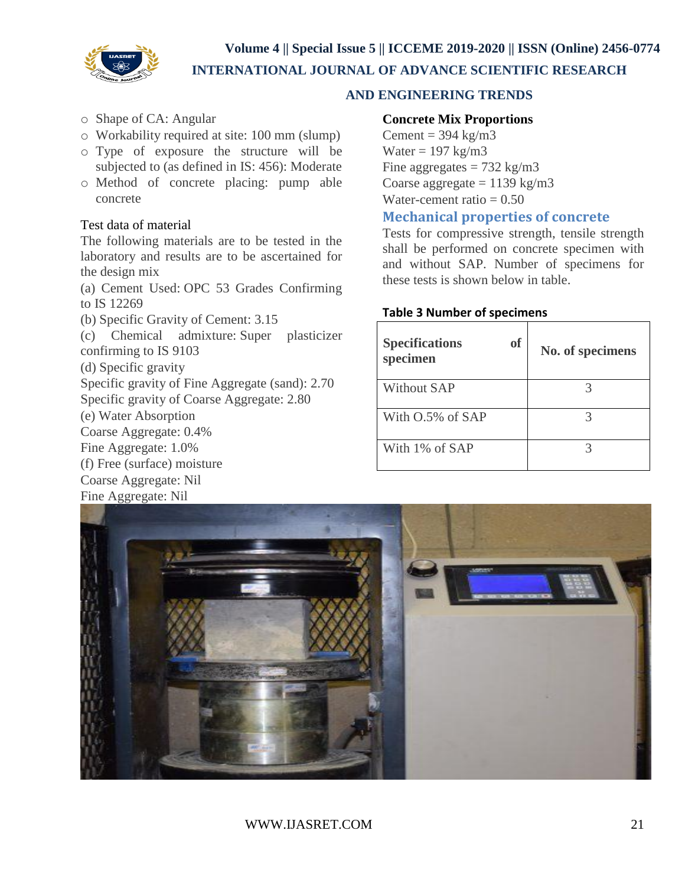**Volume 4 || Special Issue 5 || ICCEME 2019-2020 || ISSN (Online) 2456-0774**



 **INTERNATIONAL JOURNAL OF ADVANCE SCIENTIFIC RESEARCH** 

# **AND ENGINEERING TRENDS**

- o Shape of CA: Angular
- o Workability required at site: 100 mm (slump)
- o Type of exposure the structure will be subjected to (as defined in IS: 456): Moderate
- o Method of concrete placing: pump able concrete

#### Test data of material

The following materials are to be tested in the laboratory and results are to be ascertained for the design mix

(a) Cement Used: OPC 53 Grades Confirming to IS 12269

(b) Specific Gravity of Cement: 3.15

(c) Chemical admixture: Super plasticizer confirming to IS 9103

(d) Specific gravity

Specific gravity of Fine Aggregate (sand): 2.70

Specific gravity of Coarse Aggregate: 2.80

(e) Water Absorption

Coarse Aggregate: 0.4%

Fine Aggregate: 1.0%

(f) Free (surface) moisture Coarse Aggregate: Nil

Fine Aggregate: Nil

# **Concrete Mix Proportions**

Cement =  $394 \text{ kg/m}$ 3 Water  $= 197 \text{ kg/m}$ 3 Fine aggregates  $= 732 \text{ kg/m}3$ Coarse aggregate  $= 1139 \text{ kg/m}3$ Water-cement ratio  $= 0.50$ 

# **Mechanical properties of concrete**

Tests for compressive strength, tensile strength shall be performed on concrete specimen with and without SAP. Number of specimens for these tests is shown below in table.

#### **Table 3 Number of specimens**

| <b>Specifications</b><br><b>of</b><br>specimen | No. of specimens |
|------------------------------------------------|------------------|
| <b>Without SAP</b>                             |                  |
| With O.5% of SAP                               |                  |
| With 1\% of SAP                                |                  |